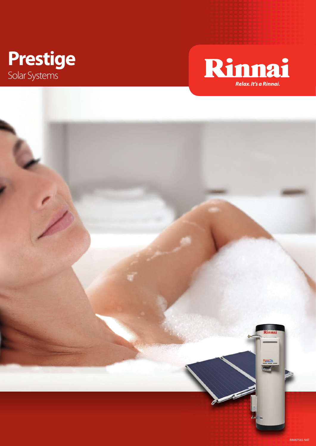



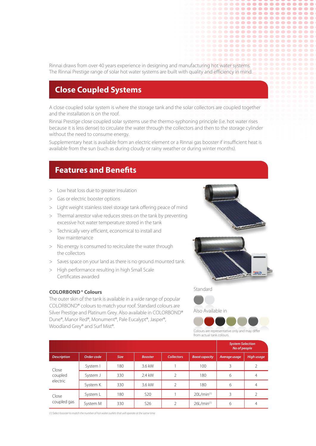Rinnai draws from over 40 years experience in designing and manufacturing hot water systems. The Rinnai Prestige range of solar hot water systems are built with quality and efficiency in mind.

## **Close Coupled Systems**

A close coupled solar system is where the storage tank and the solar collectors are coupled together and the installation is on the roof.

Rinnai Prestige close coupled solar systems use the thermo-syphoning principle (i.e. hot water rises because it is less dense) to circulate the water through the collectors and then to the storage cylinder without the need to consume energy.

Supplementary heat is available from an electric element or a Rinnai gas booster if insufficient heat is available from the sun (such as during cloudy or rainy weather or during winter months).

## **Features and Benefits**

- > Low heat loss due to greater insulation
- > Gas or electric booster options
- > Light weight stainless steel storage tank offering peace of mind
- > Thermal arrestor valve reduces stress on the tank by preventing excessive hot water temperature stored in the tank
- > Technically very efficient, economical to install and low maintenance
- > No energy is consumed to recirculate the water through the collectors
- > Saves space on your land as there is no ground mounted tank
- > High performance resulting in high Small Scale Certificates awarded

## **Colorbond® Colours**

The outer skin of the tank is available in a wide range of popular COLORBOND® colours to match your roof. Standard colours are Silver Prestige and Platinum Grey. Also available in COLORBOND® Dune®, Manor Red®, Monument®, Pale Eucalypt®, Jasper®, Woodland Grey® and Surf Mist®.



..........

................ .............. .................. .................. . . . . . . . . . . . . . . . . . . . .................. . . . . . . . . . . . . . . . . . . . ------------------

Standard

Also Available in



Colours are representative only and may differ from actual tank colours.

|                              |            |             |                 |                   |                           | <b>System Selection</b><br>No of people |                   |
|------------------------------|------------|-------------|-----------------|-------------------|---------------------------|-----------------------------------------|-------------------|
| <b>Description</b>           | Order code | <b>Size</b> | <b>Booster</b>  | <b>Collectors</b> | <b>Boost capacity</b>     | Average usage                           | <b>High usage</b> |
| Close<br>coupled<br>electric | System I   | 180         | 3.6 kW          |                   | 100                       | 3                                       | $\overline{2}$    |
|                              | System J   | 330         | 2.4 kW          | $\mathfrak{D}$    | 180                       | 6                                       | 4                 |
|                              | System K   | 330         | 3.6 kW          |                   | 180                       | 6                                       | 4                 |
| Close<br>coupled gas         | System L   | 180         | <b>S20</b>      |                   | $20$ L/min $(1)$          | 3                                       |                   |
|                              | System M   | 330         | S <sub>26</sub> |                   | $26$ L/min <sup>(1)</sup> | 6                                       | 4                 |

*(1) Select booster to match the number of hot water outlets that will operate at the same time.*